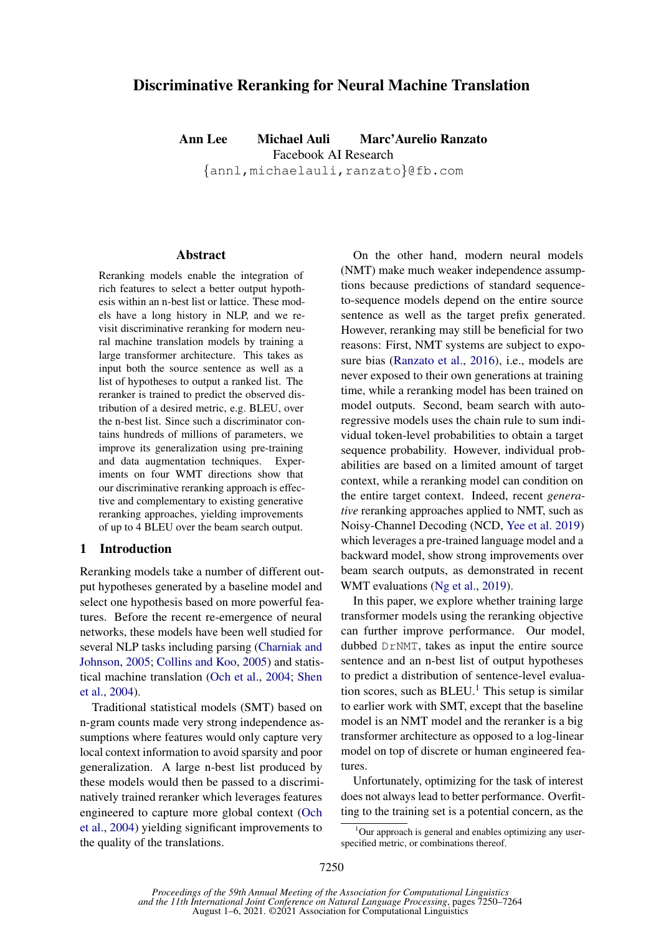# Discriminative Reranking for Neural Machine Translation

Ann Lee Michael Auli Marc'Aurelio Ranzato Facebook AI Research

{annl,michaelauli,ranzato}@fb.com

#### Abstract

Reranking models enable the integration of rich features to select a better output hypothesis within an n-best list or lattice. These models have a long history in NLP, and we revisit discriminative reranking for modern neural machine translation models by training a large transformer architecture. This takes as input both the source sentence as well as a list of hypotheses to output a ranked list. The reranker is trained to predict the observed distribution of a desired metric, e.g. BLEU, over the n-best list. Since such a discriminator contains hundreds of millions of parameters, we improve its generalization using pre-training and data augmentation techniques. Experiments on four WMT directions show that our discriminative reranking approach is effective and complementary to existing generative reranking approaches, yielding improvements of up to 4 BLEU over the beam search output.

#### 1 Introduction

Reranking models take a number of different output hypotheses generated by a baseline model and select one hypothesis based on more powerful features. Before the recent re-emergence of neural networks, these models have been well studied for several NLP tasks including parsing [\(Charniak and](#page-8-0) [Johnson,](#page-8-0) [2005;](#page-8-0) [Collins and Koo,](#page-8-1) [2005\)](#page-8-1) and statistical machine translation [\(Och et al.,](#page-9-0) [2004;](#page-9-0) [Shen](#page-9-1) [et al.,](#page-9-1) [2004\)](#page-9-1).

Traditional statistical models (SMT) based on n-gram counts made very strong independence assumptions where features would only capture very local context information to avoid sparsity and poor generalization. A large n-best list produced by these models would then be passed to a discriminatively trained reranker which leverages features engineered to capture more global context [\(Och](#page-9-0) [et al.,](#page-9-0) [2004\)](#page-9-0) yielding significant improvements to the quality of the translations.

On the other hand, modern neural models (NMT) make much weaker independence assumptions because predictions of standard sequenceto-sequence models depend on the entire source sentence as well as the target prefix generated. However, reranking may still be beneficial for two reasons: First, NMT systems are subject to exposure bias [\(Ranzato et al.,](#page-9-2) [2016\)](#page-9-2), i.e., models are never exposed to their own generations at training time, while a reranking model has been trained on model outputs. Second, beam search with autoregressive models uses the chain rule to sum individual token-level probabilities to obtain a target sequence probability. However, individual probabilities are based on a limited amount of target context, while a reranking model can condition on the entire target context. Indeed, recent *generative* reranking approaches applied to NMT, such as Noisy-Channel Decoding (NCD, [Yee et al.](#page-9-3) [2019\)](#page-9-3) which leverages a pre-trained language model and a backward model, show strong improvements over beam search outputs, as demonstrated in recent WMT evaluations [\(Ng et al.,](#page-9-4) [2019\)](#page-9-4).

In this paper, we explore whether training large transformer models using the reranking objective can further improve performance. Our model, dubbed DrNMT, takes as input the entire source sentence and an n-best list of output hypotheses to predict a distribution of sentence-level evaluation scores, such as  $BLEU<sup>1</sup>$  $BLEU<sup>1</sup>$  $BLEU<sup>1</sup>$ . This setup is similar to earlier work with SMT, except that the baseline model is an NMT model and the reranker is a big transformer architecture as opposed to a log-linear model on top of discrete or human engineered features.

Unfortunately, optimizing for the task of interest does not always lead to better performance. Overfitting to the training set is a potential concern, as the

<span id="page-0-0"></span> $1$ Our approach is general and enables optimizing any userspecified metric, or combinations thereof.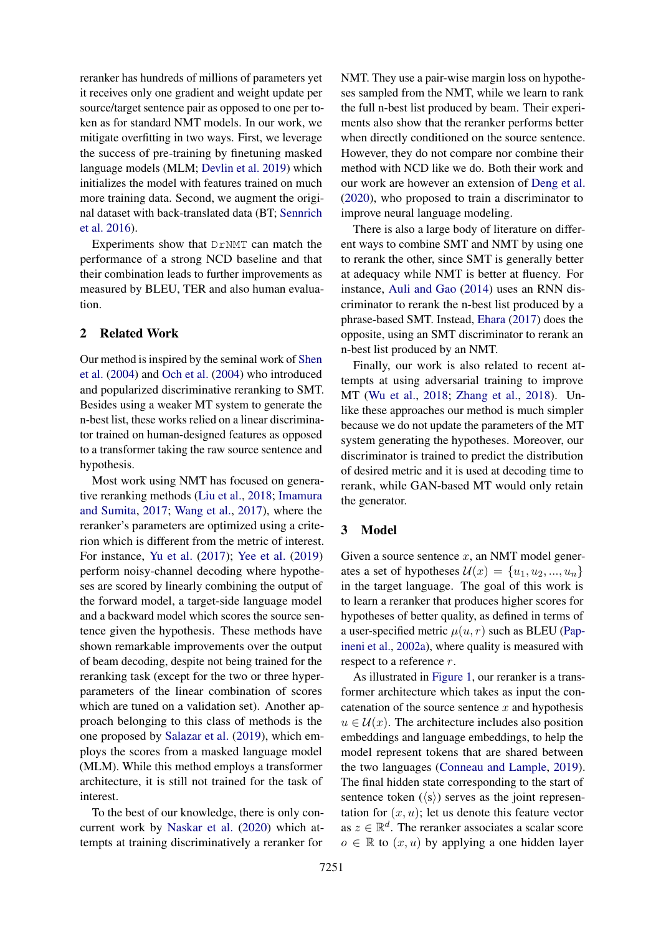reranker has hundreds of millions of parameters yet it receives only one gradient and weight update per source/target sentence pair as opposed to one per token as for standard NMT models. In our work, we mitigate overfitting in two ways. First, we leverage the success of pre-training by finetuning masked language models (MLM; [Devlin et al.](#page-8-2) [2019\)](#page-8-2) which initializes the model with features trained on much more training data. Second, we augment the original dataset with back-translated data (BT; [Sennrich](#page-9-5) [et al.](#page-9-5) [2016\)](#page-9-5).

Experiments show that DrNMT can match the performance of a strong NCD baseline and that their combination leads to further improvements as measured by BLEU, TER and also human evaluation.

### 2 Related Work

Our method is inspired by the seminal work of [Shen](#page-9-1) [et al.](#page-9-1) [\(2004\)](#page-9-1) and [Och et al.](#page-9-0) [\(2004\)](#page-9-0) who introduced and popularized discriminative reranking to SMT. Besides using a weaker MT system to generate the n-best list, these works relied on a linear discriminator trained on human-designed features as opposed to a transformer taking the raw source sentence and hypothesis.

Most work using NMT has focused on generative reranking methods [\(Liu et al.,](#page-9-6) [2018;](#page-9-6) [Imamura](#page-8-3) [and Sumita,](#page-8-3) [2017;](#page-8-3) [Wang et al.,](#page-9-7) [2017\)](#page-9-7), where the reranker's parameters are optimized using a criterion which is different from the metric of interest. For instance, [Yu et al.](#page-10-0) [\(2017\)](#page-10-0); [Yee et al.](#page-9-3) [\(2019\)](#page-9-3) perform noisy-channel decoding where hypotheses are scored by linearly combining the output of the forward model, a target-side language model and a backward model which scores the source sentence given the hypothesis. These methods have shown remarkable improvements over the output of beam decoding, despite not being trained for the reranking task (except for the two or three hyperparameters of the linear combination of scores which are tuned on a validation set). Another approach belonging to this class of methods is the one proposed by [Salazar et al.](#page-9-8) [\(2019\)](#page-9-8), which employs the scores from a masked language model (MLM). While this method employs a transformer architecture, it is still not trained for the task of interest.

To the best of our knowledge, there is only concurrent work by [Naskar et al.](#page-9-9) [\(2020\)](#page-9-9) which attempts at training discriminatively a reranker for NMT. They use a pair-wise margin loss on hypotheses sampled from the NMT, while we learn to rank the full n-best list produced by beam. Their experiments also show that the reranker performs better when directly conditioned on the source sentence. However, they do not compare nor combine their method with NCD like we do. Both their work and our work are however an extension of [Deng et al.](#page-8-4) [\(2020\)](#page-8-4), who proposed to train a discriminator to improve neural language modeling.

There is also a large body of literature on different ways to combine SMT and NMT by using one to rerank the other, since SMT is generally better at adequacy while NMT is better at fluency. For instance, [Auli and Gao](#page-8-5) [\(2014\)](#page-8-5) uses an RNN discriminator to rerank the n-best list produced by a phrase-based SMT. Instead, [Ehara](#page-8-6) [\(2017\)](#page-8-6) does the opposite, using an SMT discriminator to rerank an n-best list produced by an NMT.

Finally, our work is also related to recent attempts at using adversarial training to improve MT [\(Wu et al.,](#page-9-10) [2018;](#page-9-10) [Zhang et al.,](#page-10-1) [2018\)](#page-10-1). Unlike these approaches our method is much simpler because we do not update the parameters of the MT system generating the hypotheses. Moreover, our discriminator is trained to predict the distribution of desired metric and it is used at decoding time to rerank, while GAN-based MT would only retain the generator.

#### 3 Model

Given a source sentence  $x$ , an NMT model generates a set of hypotheses  $\mathcal{U}(x) = \{u_1, u_2, ..., u_n\}$ in the target language. The goal of this work is to learn a reranker that produces higher scores for hypotheses of better quality, as defined in terms of a user-specified metric  $\mu(u, r)$  such as BLEU [\(Pap](#page-9-11)[ineni et al.,](#page-9-11) [2002a\)](#page-9-11), where quality is measured with respect to a reference r.

As illustrated in [Figure 1,](#page-2-0) our reranker is a transformer architecture which takes as input the concatenation of the source sentence  $x$  and hypothesis  $u \in \mathcal{U}(x)$ . The architecture includes also position embeddings and language embeddings, to help the model represent tokens that are shared between the two languages [\(Conneau and Lample,](#page-8-7) [2019\)](#page-8-7). The final hidden state corresponding to the start of sentence token  $(\langle s \rangle)$  serves as the joint representation for  $(x, u)$ ; let us denote this feature vector as  $z \in \mathbb{R}^d$ . The reranker associates a scalar score  $o \in \mathbb{R}$  to  $(x, u)$  by applying a one hidden layer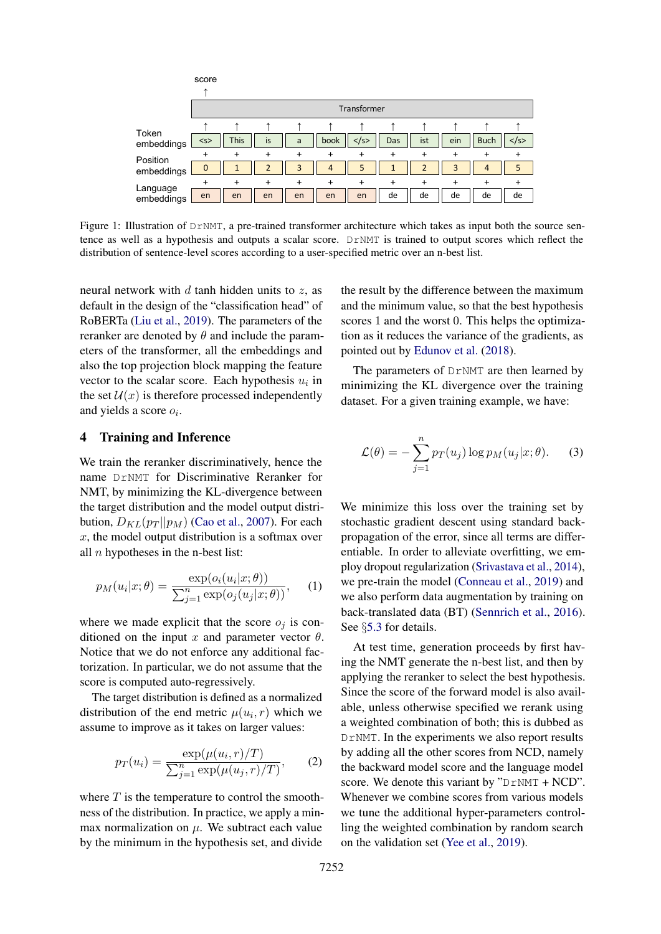<span id="page-2-0"></span>

Figure 1: Illustration of DrNMT, a pre-trained transformer architecture which takes as input both the source sentence as well as a hypothesis and outputs a scalar score. DrNMT is trained to output scores which reflect the distribution of sentence-level scores according to a user-specified metric over an n-best list.

neural network with  $d$  tanh hidden units to  $z$ , as default in the design of the "classification head" of RoBERTa [\(Liu et al.,](#page-8-8) [2019\)](#page-8-8). The parameters of the reranker are denoted by  $\theta$  and include the parameters of the transformer, all the embeddings and also the top projection block mapping the feature vector to the scalar score. Each hypothesis  $u_i$  in the set  $\mathcal{U}(x)$  is therefore processed independently and yields a score  $o_i$ .

### 4 Training and Inference

We train the reranker discriminatively, hence the name DrNMT for Discriminative Reranker for NMT, by minimizing the KL-divergence between the target distribution and the model output distribution,  $D_{KL}(p_T || p_M)$  [\(Cao et al.,](#page-8-9) [2007\)](#page-8-9). For each  $x$ , the model output distribution is a softmax over all  $n$  hypotheses in the n-best list:

$$
p_M(u_i|x; \theta) = \frac{\exp(o_i(u_i|x; \theta))}{\sum_{j=1}^n \exp(o_j(u_j|x; \theta))}, \quad (1)
$$

where we made explicit that the score  $o_i$  is conditioned on the input x and parameter vector  $\theta$ . Notice that we do not enforce any additional factorization. In particular, we do not assume that the score is computed auto-regressively.

The target distribution is defined as a normalized distribution of the end metric  $\mu(u_i, r)$  which we assume to improve as it takes on larger values:

$$
p_T(u_i) = \frac{\exp(\mu(u_i, r)/T)}{\sum_{j=1}^n \exp(\mu(u_j, r)/T)},
$$
 (2)

where  $T$  is the temperature to control the smoothness of the distribution. In practice, we apply a minmax normalization on  $\mu$ . We subtract each value by the minimum in the hypothesis set, and divide

the result by the difference between the maximum and the minimum value, so that the best hypothesis scores 1 and the worst 0. This helps the optimization as it reduces the variance of the gradients, as pointed out by [Edunov et al.](#page-8-10) [\(2018\)](#page-8-10).

The parameters of DrNMT are then learned by minimizing the KL divergence over the training dataset. For a given training example, we have:

$$
\mathcal{L}(\theta) = -\sum_{j=1}^{n} p_T(u_j) \log p_M(u_j|x;\theta). \tag{3}
$$

We minimize this loss over the training set by stochastic gradient descent using standard backpropagation of the error, since all terms are differentiable. In order to alleviate overfitting, we employ dropout regularization [\(Srivastava et al.,](#page-9-12) [2014\)](#page-9-12), we pre-train the model [\(Conneau et al.,](#page-8-11) [2019\)](#page-8-11) and we also perform data augmentation by training on back-translated data (BT) [\(Sennrich et al.,](#page-9-5) [2016\)](#page-9-5). See §[5.3](#page-3-0) for details.

At test time, generation proceeds by first having the NMT generate the n-best list, and then by applying the reranker to select the best hypothesis. Since the score of the forward model is also available, unless otherwise specified we rerank using a weighted combination of both; this is dubbed as DrNMT. In the experiments we also report results by adding all the other scores from NCD, namely the backward model score and the language model score. We denote this variant by " $D \text{rNMT} + \text{NCD}$ ". Whenever we combine scores from various models we tune the additional hyper-parameters controlling the weighted combination by random search on the validation set [\(Yee et al.,](#page-9-3) [2019\)](#page-9-3).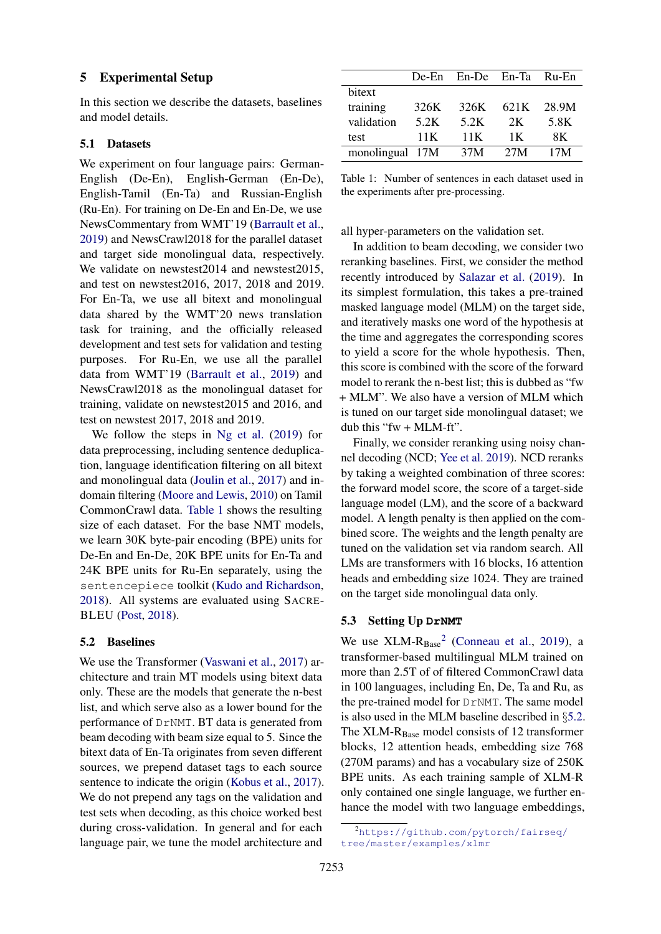#### 5 Experimental Setup

In this section we describe the datasets, baselines and model details.

#### 5.1 Datasets

We experiment on four language pairs: German-English (De-En), English-German (En-De), English-Tamil (En-Ta) and Russian-English (Ru-En). For training on De-En and En-De, we use NewsCommentary from WMT'19 [\(Barrault et al.,](#page-8-12) [2019\)](#page-8-12) and NewsCrawl2018 for the parallel dataset and target side monolingual data, respectively. We validate on newstest2014 and newstest2015, and test on newstest2016, 2017, 2018 and 2019. For En-Ta, we use all bitext and monolingual data shared by the WMT'20 news translation task for training, and the officially released development and test sets for validation and testing purposes. For Ru-En, we use all the parallel data from WMT'19 [\(Barrault et al.,](#page-8-12) [2019\)](#page-8-12) and NewsCrawl2018 as the monolingual dataset for training, validate on newstest2015 and 2016, and test on newstest 2017, 2018 and 2019.

We follow the steps in [Ng et al.](#page-9-4) [\(2019\)](#page-9-4) for data preprocessing, including sentence deduplication, language identification filtering on all bitext and monolingual data [\(Joulin et al.,](#page-8-13) [2017\)](#page-8-13) and indomain filtering [\(Moore and Lewis,](#page-9-13) [2010\)](#page-9-13) on Tamil CommonCrawl data. [Table 1](#page-3-1) shows the resulting size of each dataset. For the base NMT models, we learn 30K byte-pair encoding (BPE) units for De-En and En-De, 20K BPE units for En-Ta and 24K BPE units for Ru-En separately, using the sentencepiece toolkit [\(Kudo and Richardson,](#page-8-14) [2018\)](#page-8-14). All systems are evaluated using SACRE-BLEU [\(Post,](#page-9-14) [2018\)](#page-9-14).

#### <span id="page-3-3"></span>5.2 Baselines

We use the Transformer [\(Vaswani et al.,](#page-9-15) [2017\)](#page-9-15) architecture and train MT models using bitext data only. These are the models that generate the n-best list, and which serve also as a lower bound for the performance of DrNMT. BT data is generated from beam decoding with beam size equal to 5. Since the bitext data of En-Ta originates from seven different sources, we prepend dataset tags to each source sentence to indicate the origin [\(Kobus et al.,](#page-8-15) [2017\)](#page-8-15). We do not prepend any tags on the validation and test sets when decoding, as this choice worked best during cross-validation. In general and for each language pair, we tune the model architecture and

<span id="page-3-1"></span>

|                 |      | De-En En-De En-Ta Ru-En |      |       |
|-----------------|------|-------------------------|------|-------|
| bitext          |      |                         |      |       |
| training        | 326K | 326K                    | 621K | 28.9M |
| validation      | 5.2K | 5.2K                    | 2K   | 5.8K  |
| test            | 11K  | 11K                     | 1 K  | 8K.   |
| monolingual 17M |      | 37M                     | 27M  | 17M   |

Table 1: Number of sentences in each dataset used in the experiments after pre-processing.

all hyper-parameters on the validation set.

In addition to beam decoding, we consider two reranking baselines. First, we consider the method recently introduced by [Salazar et al.](#page-9-8) [\(2019\)](#page-9-8). In its simplest formulation, this takes a pre-trained masked language model (MLM) on the target side, and iteratively masks one word of the hypothesis at the time and aggregates the corresponding scores to yield a score for the whole hypothesis. Then, this score is combined with the score of the forward model to rerank the n-best list; this is dubbed as "fw + MLM". We also have a version of MLM which is tuned on our target side monolingual dataset; we dub this "fw + MLM-ft".

Finally, we consider reranking using noisy channel decoding (NCD; [Yee et al.](#page-9-3) [2019\)](#page-9-3). NCD reranks by taking a weighted combination of three scores: the forward model score, the score of a target-side language model (LM), and the score of a backward model. A length penalty is then applied on the combined score. The weights and the length penalty are tuned on the validation set via random search. All LMs are transformers with 16 blocks, 16 attention heads and embedding size 1024. They are trained on the target side monolingual data only.

#### <span id="page-3-0"></span>5.3 Setting Up **DrNMT**

We use  $XLM-R<sub>Base</sub><sup>2</sup>$  $XLM-R<sub>Base</sub><sup>2</sup>$  $XLM-R<sub>Base</sub><sup>2</sup>$  [\(Conneau et al.,](#page-8-11) [2019\)](#page-8-11), a transformer-based multilingual MLM trained on more than 2.5T of of filtered CommonCrawl data in 100 languages, including En, De, Ta and Ru, as the pre-trained model for DrNMT. The same model is also used in the MLM baseline described in §[5.2.](#page-3-3) The XLM-R<sub>Base</sub> model consists of 12 transformer blocks, 12 attention heads, embedding size 768 (270M params) and has a vocabulary size of 250K BPE units. As each training sample of XLM-R only contained one single language, we further enhance the model with two language embeddings,

<span id="page-3-2"></span><sup>&</sup>lt;sup>2</sup>[https://github.com/pytorch/fairseq/](https://github.com/pytorch/fairseq/tree/master/examples/xlmr) [tree/master/examples/xlmr](https://github.com/pytorch/fairseq/tree/master/examples/xlmr)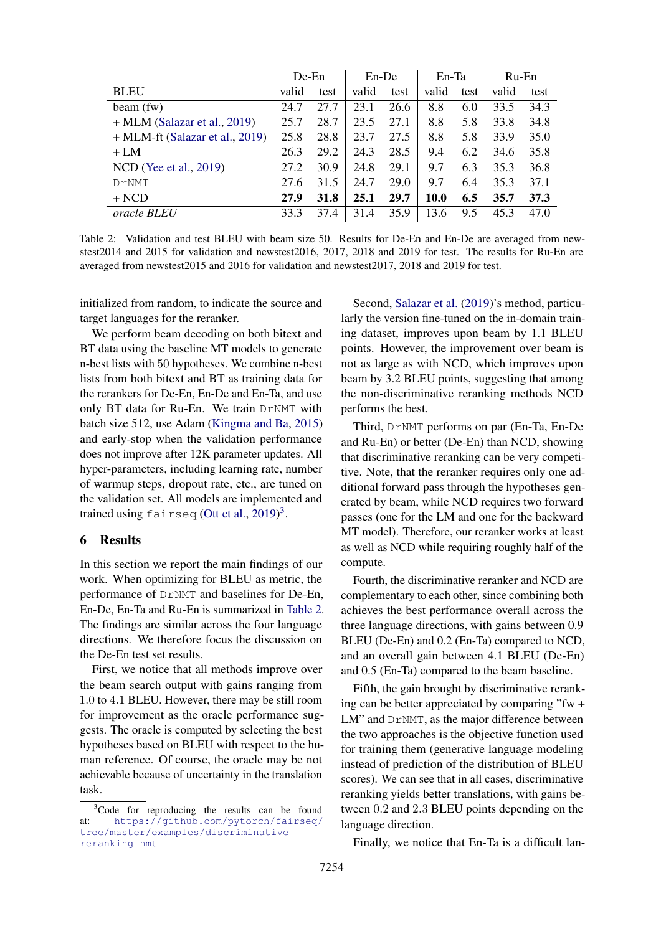<span id="page-4-1"></span>

|                                   | DeEn  |      | En-De |      | En-Ta |      | $Ru$ -En |      |
|-----------------------------------|-------|------|-------|------|-------|------|----------|------|
| <b>BLEU</b>                       | valid | test | valid | test | valid | test | valid    | test |
| beam(fw)                          | 24.7  | 27.7 | 23.1  | 26.6 | 8.8   | 6.0  | 33.5     | 34.3 |
| $+$ MLM (Salazar et al., 2019)    | 25.7  | 28.7 | 23.5  | 27.1 | 8.8   | 5.8  | 33.8     | 34.8 |
| $+$ MLM-ft (Salazar et al., 2019) | 25.8  | 28.8 | 23.7  | 27.5 | 8.8   | 5.8  | 33.9     | 35.0 |
| $+LM$                             | 26.3  | 29.2 | 24.3  | 28.5 | 9.4   | 6.2  | 34.6     | 35.8 |
| NCD (Yee et al., 2019)            | 27.2  | 30.9 | 24.8  | 29.1 | 9.7   | 6.3  | 35.3     | 36.8 |
| DrNMT                             | 27.6  | 31.5 | 24.7  | 29.0 | 9.7   | 6.4  | 35.3     | 37.1 |
| $+ NCD$                           | 27.9  | 31.8 | 25.1  | 29.7 | 10.0  | 6.5  | 35.7     | 37.3 |
| oracle BLEU                       | 33.3  | 37.4 | 31.4  | 35.9 | 13.6  | 9.5  | 45.3     | 47.0 |

Table 2: Validation and test BLEU with beam size 50. Results for De-En and En-De are averaged from newstest2014 and 2015 for validation and newstest2016, 2017, 2018 and 2019 for test. The results for Ru-En are averaged from newstest2015 and 2016 for validation and newstest2017, 2018 and 2019 for test.

initialized from random, to indicate the source and target languages for the reranker.

We perform beam decoding on both bitext and BT data using the baseline MT models to generate n-best lists with 50 hypotheses. We combine n-best lists from both bitext and BT as training data for the rerankers for De-En, En-De and En-Ta, and use only BT data for Ru-En. We train DrNMT with batch size 512, use Adam [\(Kingma and Ba,](#page-8-16) [2015\)](#page-8-16) and early-stop when the validation performance does not improve after 12K parameter updates. All hyper-parameters, including learning rate, number of warmup steps, dropout rate, etc., are tuned on the validation set. All models are implemented and trained using fairseq [\(Ott et al.,](#page-9-16) [2019\)](#page-9-16)<sup>[3](#page-4-0)</sup>.

#### 6 Results

In this section we report the main findings of our work. When optimizing for BLEU as metric, the performance of DrNMT and baselines for De-En, En-De, En-Ta and Ru-En is summarized in [Table 2.](#page-4-1) The findings are similar across the four language directions. We therefore focus the discussion on the De-En test set results.

First, we notice that all methods improve over the beam search output with gains ranging from 1.0 to 4.1 BLEU. However, there may be still room for improvement as the oracle performance suggests. The oracle is computed by selecting the best hypotheses based on BLEU with respect to the human reference. Of course, the oracle may be not achievable because of uncertainty in the translation task.

Second, [Salazar et al.](#page-9-8) [\(2019\)](#page-9-8)'s method, particularly the version fine-tuned on the in-domain training dataset, improves upon beam by 1.1 BLEU points. However, the improvement over beam is not as large as with NCD, which improves upon beam by 3.2 BLEU points, suggesting that among the non-discriminative reranking methods NCD performs the best.

Third, DrNMT performs on par (En-Ta, En-De and Ru-En) or better (De-En) than NCD, showing that discriminative reranking can be very competitive. Note, that the reranker requires only one additional forward pass through the hypotheses generated by beam, while NCD requires two forward passes (one for the LM and one for the backward MT model). Therefore, our reranker works at least as well as NCD while requiring roughly half of the compute.

Fourth, the discriminative reranker and NCD are complementary to each other, since combining both achieves the best performance overall across the three language directions, with gains between 0.9 BLEU (De-En) and 0.2 (En-Ta) compared to NCD, and an overall gain between 4.1 BLEU (De-En) and 0.5 (En-Ta) compared to the beam baseline.

Fifth, the gain brought by discriminative reranking can be better appreciated by comparing "fw + LM" and DrNMT, as the major difference between the two approaches is the objective function used for training them (generative language modeling instead of prediction of the distribution of BLEU scores). We can see that in all cases, discriminative reranking yields better translations, with gains between 0.2 and 2.3 BLEU points depending on the language direction.

Finally, we notice that En-Ta is a difficult lan-

<span id="page-4-0"></span><sup>&</sup>lt;sup>3</sup>Code for reproducing the results can be found at: [https://github.com/pytorch/fairseq/](https://github.com/pytorch/fairseq/tree/master/examples/discriminative_reranking_nmt) [tree/master/examples/discriminative\\_](https://github.com/pytorch/fairseq/tree/master/examples/discriminative_reranking_nmt) [reranking\\_nmt](https://github.com/pytorch/fairseq/tree/master/examples/discriminative_reranking_nmt)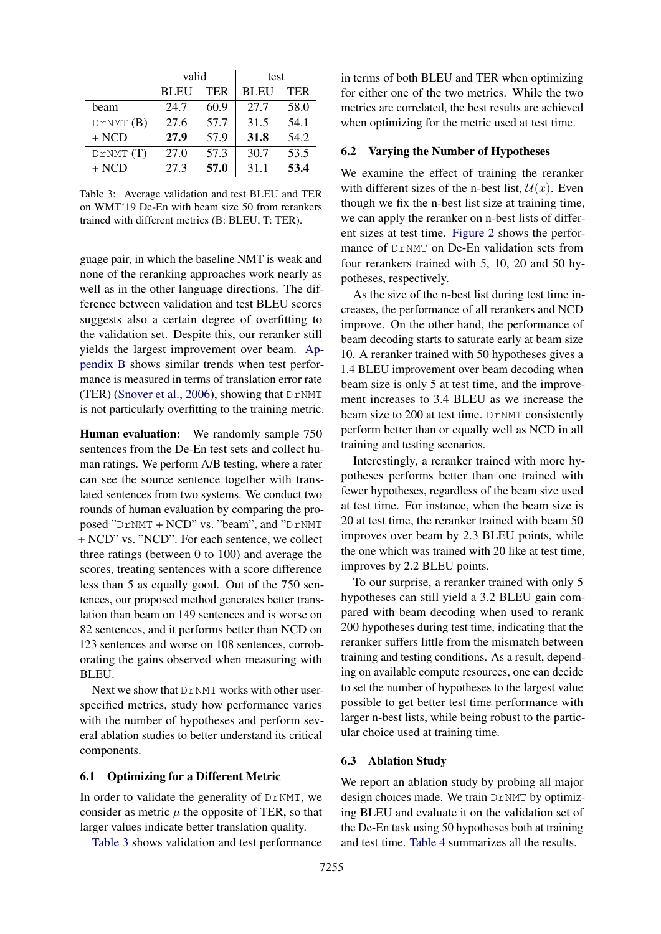<span id="page-5-0"></span>

|          | valid       |            | test        |            |
|----------|-------------|------------|-------------|------------|
|          | <b>BLEU</b> | <b>TER</b> | <b>BLEU</b> | <b>TER</b> |
| beam     | 24.7        | 60.9       | 27.7        | 58.0       |
| DrNMT(B) | 27.6        | 57.7       | 31.5        | 54.1       |
| $+ NCD$  | 27.9        | 57.9       | 31.8        | 54.2       |
| DrNMT(T) | 27.0        | 57.3       | 30.7        | 53.5       |
| $+$ NCD  | 27.3        | 57.0       | 31.1        | 53.4       |

Table 3: Average validation and test BLEU and TER on WMT'19 De-En with beam size 50 from rerankers trained with different metrics (B: BLEU, T: TER).

guage pair, in which the baseline NMT is weak and none of the reranking approaches work nearly as well as in the other language directions. The difference between validation and test BLEU scores suggests also a certain degree of overfitting to the validation set. Despite this, our reranker still yields the largest improvement over beam. [Ap](#page-11-0)[pendix B](#page-11-0) shows similar trends when test performance is measured in terms of translation error rate (TER) [\(Snover et al.,](#page-9-17) [2006\)](#page-9-17), showing that  $D\text{NMT}$ is not particularly overfitting to the training metric.

Human evaluation: We randomly sample 750 sentences from the De-En test sets and collect human ratings. We perform A/B testing, where a rater can see the source sentence together with translated sentences from two systems. We conduct two rounds of human evaluation by comparing the proposed "DrNMT + NCD" vs. "beam", and "DrNMT + NCD" vs. "NCD". For each sentence, we collect three ratings (between 0 to 100) and average the scores, treating sentences with a score difference less than 5 as equally good. Out of the 750 sentences, our proposed method generates better translation than beam on 149 sentences and is worse on 82 sentences, and it performs better than NCD on 123 sentences and worse on 108 sentences, corroborating the gains observed when measuring with BLEU.

Next we show that DrNMT works with other userspecified metrics, study how performance varies with the number of hypotheses and perform several ablation studies to better understand its critical components.

#### 6.1 Optimizing for a Different Metric

In order to validate the generality of DrNMT, we consider as metric  $\mu$  the opposite of TER, so that larger values indicate better translation quality.

[Table 3](#page-5-0) shows validation and test performance

in terms of both BLEU and TER when optimizing for either one of the two metrics. While the two metrics are correlated, the best results are achieved when optimizing for the metric used at test time.

#### 6.2 Varying the Number of Hypotheses

We examine the effect of training the reranker with different sizes of the n-best list,  $\mathcal{U}(x)$ . Even though we fix the n-best list size at training time, we can apply the reranker on n-best lists of different sizes at test time. [Figure 2](#page-6-0) shows the performance of DrNMT on De-En validation sets from four rerankers trained with 5, 10, 20 and 50 hypotheses, respectively.

As the size of the n-best list during test time increases, the performance of all rerankers and NCD improve. On the other hand, the performance of beam decoding starts to saturate early at beam size 10. A reranker trained with 50 hypotheses gives a 1.4 BLEU improvement over beam decoding when beam size is only 5 at test time, and the improvement increases to 3.4 BLEU as we increase the beam size to 200 at test time. DrNMT consistently perform better than or equally well as NCD in all training and testing scenarios.

Interestingly, a reranker trained with more hypotheses performs better than one trained with fewer hypotheses, regardless of the beam size used at test time. For instance, when the beam size is 20 at test time, the reranker trained with beam 50 improves over beam by 2.3 BLEU points, while the one which was trained with 20 like at test time, improves by 2.2 BLEU points.

To our surprise, a reranker trained with only 5 hypotheses can still yield a 3.2 BLEU gain compared with beam decoding when used to rerank 200 hypotheses during test time, indicating that the reranker suffers little from the mismatch between training and testing conditions. As a result, depending on available compute resources, one can decide to set the number of hypotheses to the largest value possible to get better test time performance with larger n-best lists, while being robust to the particular choice used at training time.

### 6.3 Ablation Study

We report an ablation study by probing all major design choices made. We train DrNMT by optimizing BLEU and evaluate it on the validation set of the De-En task using 50 hypotheses both at training and test time. [Table 4](#page-6-1) summarizes all the results.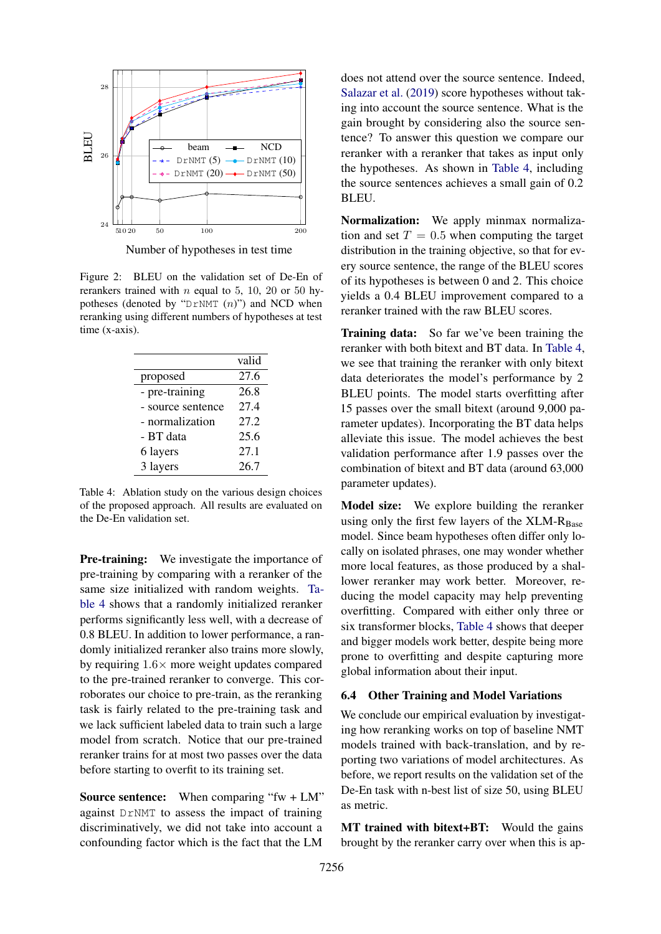<span id="page-6-0"></span>

Number of hypotheses in test time

Figure 2: BLEU on the validation set of De-En of rerankers trained with *n* equal to 5, 10, 20 or 50 hypotheses (denoted by " $D\Gamma NMT (n)$ ") and NCD when reranking using different numbers of hypotheses at test time (x-axis).

<span id="page-6-1"></span>

|                   | valid |
|-------------------|-------|
| proposed          | 27.6  |
| - pre-training    | 26.8  |
| - source sentence | 27.4  |
| - normalization   | 27.2  |
| - BT data         | 25.6  |
| 6 layers          | 27.1  |
| 3 layers          | 26.7  |

Table 4: Ablation study on the various design choices of the proposed approach. All results are evaluated on the De-En validation set.

Pre-training: We investigate the importance of pre-training by comparing with a reranker of the same size initialized with random weights. [Ta](#page-6-1)[ble 4](#page-6-1) shows that a randomly initialized reranker performs significantly less well, with a decrease of 0.8 BLEU. In addition to lower performance, a randomly initialized reranker also trains more slowly, by requiring  $1.6 \times$  more weight updates compared to the pre-trained reranker to converge. This corroborates our choice to pre-train, as the reranking task is fairly related to the pre-training task and we lack sufficient labeled data to train such a large model from scratch. Notice that our pre-trained reranker trains for at most two passes over the data before starting to overfit to its training set.

Source sentence: When comparing "fw + LM" against DrNMT to assess the impact of training discriminatively, we did not take into account a confounding factor which is the fact that the LM

does not attend over the source sentence. Indeed, [Salazar et al.](#page-9-8) [\(2019\)](#page-9-8) score hypotheses without taking into account the source sentence. What is the gain brought by considering also the source sentence? To answer this question we compare our reranker with a reranker that takes as input only the hypotheses. As shown in [Table 4,](#page-6-1) including the source sentences achieves a small gain of 0.2 BLEU.

Normalization: We apply minmax normalization and set  $T = 0.5$  when computing the target distribution in the training objective, so that for every source sentence, the range of the BLEU scores of its hypotheses is between 0 and 2. This choice yields a 0.4 BLEU improvement compared to a reranker trained with the raw BLEU scores.

Training data: So far we've been training the reranker with both bitext and BT data. In [Table 4,](#page-6-1) we see that training the reranker with only bitext data deteriorates the model's performance by 2 BLEU points. The model starts overfitting after 15 passes over the small bitext (around 9,000 parameter updates). Incorporating the BT data helps alleviate this issue. The model achieves the best validation performance after 1.9 passes over the combination of bitext and BT data (around 63,000 parameter updates).

Model size: We explore building the reranker using only the first few layers of the  $XLM-R<sub>Base</sub>$ model. Since beam hypotheses often differ only locally on isolated phrases, one may wonder whether more local features, as those produced by a shallower reranker may work better. Moreover, reducing the model capacity may help preventing overfitting. Compared with either only three or six transformer blocks, [Table 4](#page-6-1) shows that deeper and bigger models work better, despite being more prone to overfitting and despite capturing more global information about their input.

#### 6.4 Other Training and Model Variations

We conclude our empirical evaluation by investigating how reranking works on top of baseline NMT models trained with back-translation, and by reporting two variations of model architectures. As before, we report results on the validation set of the De-En task with n-best list of size 50, using BLEU as metric.

MT trained with bitext+BT: Would the gains brought by the reranker carry over when this is ap-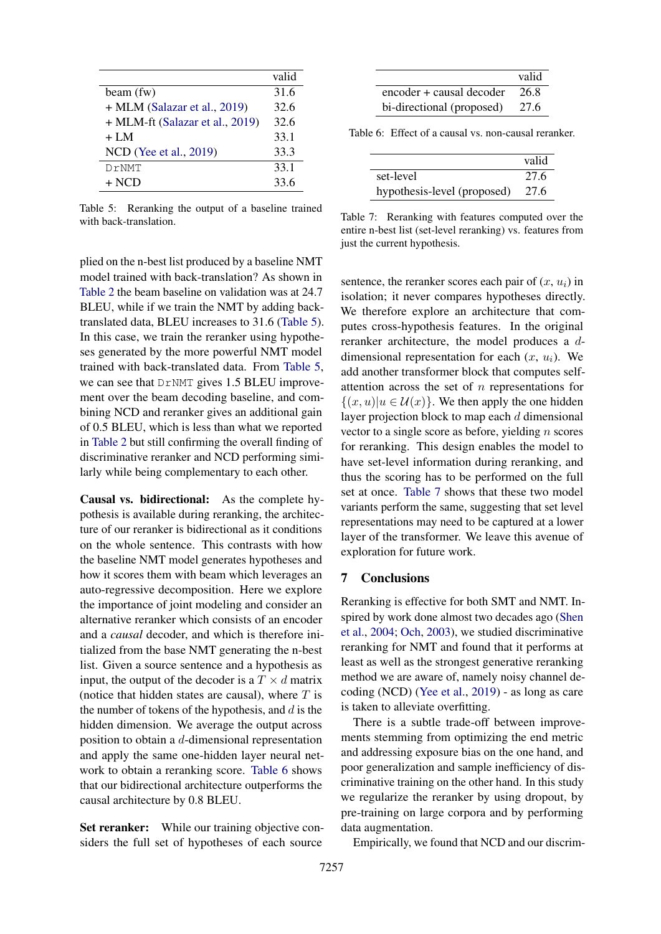<span id="page-7-0"></span>

|                                 | valid |
|---------------------------------|-------|
| beam (fw)                       | 31.6  |
| + MLM (Salazar et al., 2019)    | 32.6  |
| + MLM-ft (Salazar et al., 2019) | 32.6  |
| $+LM$                           | 33.1  |
| NCD (Yee et al., 2019)          | 33.3  |
| DrNMT                           | 33.1  |
| $+$ NCD                         | 33.6  |

Table 5: Reranking the output of a baseline trained with back-translation.

<span id="page-7-1"></span>

|                           | valid |
|---------------------------|-------|
| encoder + causal decoder  | 26.8  |
| bi-directional (proposed) | 27.6  |

<span id="page-7-2"></span>Table 6: Effect of a causal vs. non-causal reranker.

|                             | valid |
|-----------------------------|-------|
| set-level                   | 27.6  |
| hypothesis-level (proposed) | 27.6  |

Table 7: Reranking with features computed over the entire n-best list (set-level reranking) vs. features from just the current hypothesis.

plied on the n-best list produced by a baseline NMT model trained with back-translation? As shown in [Table 2](#page-4-1) the beam baseline on validation was at 24.7 BLEU, while if we train the NMT by adding backtranslated data, BLEU increases to 31.6 [\(Table 5\)](#page-7-0). In this case, we train the reranker using hypotheses generated by the more powerful NMT model trained with back-translated data. From [Table 5,](#page-7-0) we can see that  $DrNMT$  gives 1.5 BLEU improvement over the beam decoding baseline, and combining NCD and reranker gives an additional gain of 0.5 BLEU, which is less than what we reported in [Table 2](#page-4-1) but still confirming the overall finding of discriminative reranker and NCD performing similarly while being complementary to each other.

Causal vs. bidirectional: As the complete hypothesis is available during reranking, the architecture of our reranker is bidirectional as it conditions on the whole sentence. This contrasts with how the baseline NMT model generates hypotheses and how it scores them with beam which leverages an auto-regressive decomposition. Here we explore the importance of joint modeling and consider an alternative reranker which consists of an encoder and a *causal* decoder, and which is therefore initialized from the base NMT generating the n-best list. Given a source sentence and a hypothesis as input, the output of the decoder is a  $T \times d$  matrix (notice that hidden states are causal), where  $T$  is the number of tokens of the hypothesis, and  $d$  is the hidden dimension. We average the output across position to obtain a d-dimensional representation and apply the same one-hidden layer neural network to obtain a reranking score. [Table 6](#page-7-1) shows that our bidirectional architecture outperforms the causal architecture by 0.8 BLEU.

Set reranker: While our training objective considers the full set of hypotheses of each source

sentence, the reranker scores each pair of  $(x, u_i)$  in isolation; it never compares hypotheses directly. We therefore explore an architecture that computes cross-hypothesis features. In the original reranker architecture, the model produces a ddimensional representation for each  $(x, u_i)$ . We add another transformer block that computes selfattention across the set of  $n$  representations for  $\{(x, u) | u \in \mathcal{U}(x)\}\)$ . We then apply the one hidden layer projection block to map each  $d$  dimensional vector to a single score as before, yielding  $n$  scores for reranking. This design enables the model to have set-level information during reranking, and thus the scoring has to be performed on the full set at once. [Table 7](#page-7-2) shows that these two model variants perform the same, suggesting that set level representations may need to be captured at a lower layer of the transformer. We leave this avenue of exploration for future work.

### 7 Conclusions

Reranking is effective for both SMT and NMT. Inspired by work done almost two decades ago [\(Shen](#page-9-1) [et al.,](#page-9-1) [2004;](#page-9-1) [Och,](#page-9-18) [2003\)](#page-9-18), we studied discriminative reranking for NMT and found that it performs at least as well as the strongest generative reranking method we are aware of, namely noisy channel decoding (NCD) [\(Yee et al.,](#page-9-3) [2019\)](#page-9-3) - as long as care is taken to alleviate overfitting.

There is a subtle trade-off between improvements stemming from optimizing the end metric and addressing exposure bias on the one hand, and poor generalization and sample inefficiency of discriminative training on the other hand. In this study we regularize the reranker by using dropout, by pre-training on large corpora and by performing data augmentation.

Empirically, we found that NCD and our discrim-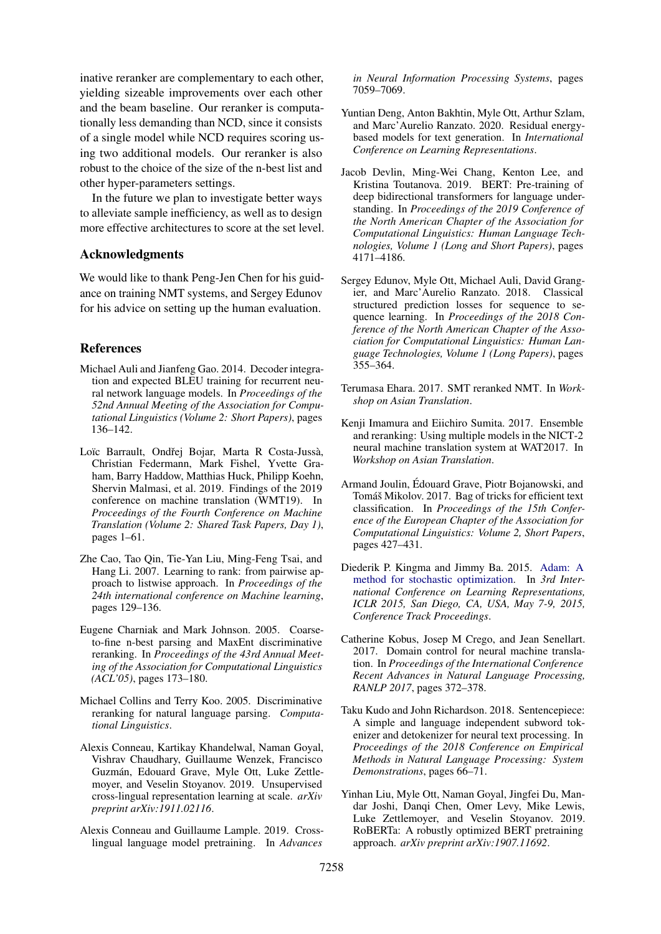inative reranker are complementary to each other, yielding sizeable improvements over each other and the beam baseline. Our reranker is computationally less demanding than NCD, since it consists of a single model while NCD requires scoring using two additional models. Our reranker is also robust to the choice of the size of the n-best list and other hyper-parameters settings.

In the future we plan to investigate better ways to alleviate sample inefficiency, as well as to design more effective architectures to score at the set level.

#### Acknowledgments

We would like to thank Peng-Jen Chen for his guidance on training NMT systems, and Sergey Edunov for his advice on setting up the human evaluation.

### References

- <span id="page-8-5"></span>Michael Auli and Jianfeng Gao. 2014. Decoder integration and expected BLEU training for recurrent neural network language models. In *Proceedings of the 52nd Annual Meeting of the Association for Computational Linguistics (Volume 2: Short Papers)*, pages 136–142.
- <span id="page-8-12"></span>Loïc Barrault, Ondřej Bojar, Marta R Costa-Jussà, Christian Federmann, Mark Fishel, Yvette Graham, Barry Haddow, Matthias Huck, Philipp Koehn, Shervin Malmasi, et al. 2019. Findings of the 2019 conference on machine translation (WMT19). In *Proceedings of the Fourth Conference on Machine Translation (Volume 2: Shared Task Papers, Day 1)*, pages 1–61.
- <span id="page-8-9"></span>Zhe Cao, Tao Qin, Tie-Yan Liu, Ming-Feng Tsai, and Hang Li. 2007. Learning to rank: from pairwise approach to listwise approach. In *Proceedings of the 24th international conference on Machine learning*, pages 129–136.
- <span id="page-8-0"></span>Eugene Charniak and Mark Johnson. 2005. Coarseto-fine n-best parsing and MaxEnt discriminative reranking. In *Proceedings of the 43rd Annual Meeting of the Association for Computational Linguistics (ACL'05)*, pages 173–180.
- <span id="page-8-1"></span>Michael Collins and Terry Koo. 2005. Discriminative reranking for natural language parsing. *Computational Linguistics*.
- <span id="page-8-11"></span>Alexis Conneau, Kartikay Khandelwal, Naman Goyal, Vishrav Chaudhary, Guillaume Wenzek, Francisco Guzmán, Edouard Grave, Myle Ott, Luke Zettlemoyer, and Veselin Stoyanov. 2019. Unsupervised cross-lingual representation learning at scale. *arXiv preprint arXiv:1911.02116*.
- <span id="page-8-7"></span>Alexis Conneau and Guillaume Lample. 2019. Crosslingual language model pretraining. In *Advances*

*in Neural Information Processing Systems*, pages 7059–7069.

- <span id="page-8-4"></span>Yuntian Deng, Anton Bakhtin, Myle Ott, Arthur Szlam, and Marc'Aurelio Ranzato. 2020. Residual energybased models for text generation. In *International Conference on Learning Representations*.
- <span id="page-8-2"></span>Jacob Devlin, Ming-Wei Chang, Kenton Lee, and Kristina Toutanova. 2019. BERT: Pre-training of deep bidirectional transformers for language understanding. In *Proceedings of the 2019 Conference of the North American Chapter of the Association for Computational Linguistics: Human Language Technologies, Volume 1 (Long and Short Papers)*, pages 4171–4186.
- <span id="page-8-10"></span>Sergey Edunov, Myle Ott, Michael Auli, David Grangier, and Marc'Aurelio Ranzato. 2018. Classical structured prediction losses for sequence to sequence learning. In *Proceedings of the 2018 Conference of the North American Chapter of the Association for Computational Linguistics: Human Language Technologies, Volume 1 (Long Papers)*, pages 355–364.
- <span id="page-8-6"></span>Terumasa Ehara. 2017. SMT reranked NMT. In *Workshop on Asian Translation*.
- <span id="page-8-3"></span>Kenji Imamura and Eiichiro Sumita. 2017. Ensemble and reranking: Using multiple models in the NICT-2 neural machine translation system at WAT2017. In *Workshop on Asian Translation*.
- <span id="page-8-13"></span>Armand Joulin, Edouard Grave, Piotr Bojanowski, and ´ Tomáš Mikolov. 2017. Bag of tricks for efficient text classification. In *Proceedings of the 15th Conference of the European Chapter of the Association for Computational Linguistics: Volume 2, Short Papers*, pages 427–431.
- <span id="page-8-16"></span>Diederik P. Kingma and Jimmy Ba. 2015. [Adam: A](http://arxiv.org/abs/1412.6980) [method for stochastic optimization.](http://arxiv.org/abs/1412.6980) In *3rd International Conference on Learning Representations, ICLR 2015, San Diego, CA, USA, May 7-9, 2015, Conference Track Proceedings*.
- <span id="page-8-15"></span>Catherine Kobus, Josep M Crego, and Jean Senellart. 2017. Domain control for neural machine translation. In *Proceedings of the International Conference Recent Advances in Natural Language Processing, RANLP 2017*, pages 372–378.
- <span id="page-8-14"></span>Taku Kudo and John Richardson. 2018. Sentencepiece: A simple and language independent subword tokenizer and detokenizer for neural text processing. In *Proceedings of the 2018 Conference on Empirical Methods in Natural Language Processing: System Demonstrations*, pages 66–71.
- <span id="page-8-8"></span>Yinhan Liu, Myle Ott, Naman Goyal, Jingfei Du, Mandar Joshi, Danqi Chen, Omer Levy, Mike Lewis, Luke Zettlemoyer, and Veselin Stoyanov. 2019. RoBERTa: A robustly optimized BERT pretraining approach. *arXiv preprint arXiv:1907.11692*.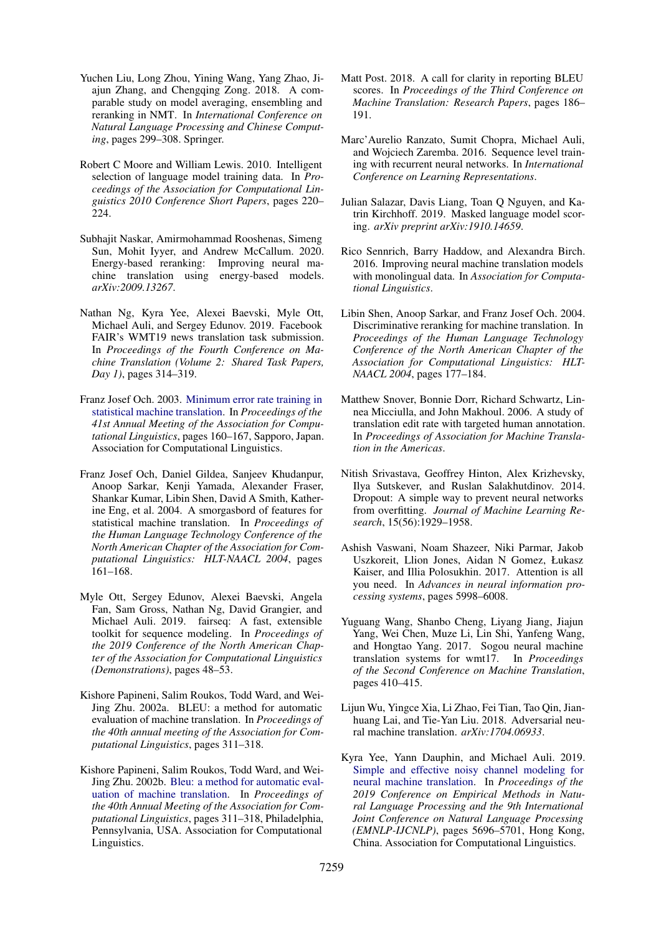- <span id="page-9-6"></span>Yuchen Liu, Long Zhou, Yining Wang, Yang Zhao, Jiajun Zhang, and Chengqing Zong. 2018. A comparable study on model averaging, ensembling and reranking in NMT. In *International Conference on Natural Language Processing and Chinese Computing*, pages 299–308. Springer.
- <span id="page-9-13"></span>Robert C Moore and William Lewis. 2010. Intelligent selection of language model training data. In *Proceedings of the Association for Computational Linguistics 2010 Conference Short Papers*, pages 220– 224.
- <span id="page-9-9"></span>Subhajit Naskar, Amirmohammad Rooshenas, Simeng Sun, Mohit Iyyer, and Andrew McCallum. 2020. Energy-based reranking: Improving neural machine translation using energy-based models. *arXiv:2009.13267*.
- <span id="page-9-4"></span>Nathan Ng, Kyra Yee, Alexei Baevski, Myle Ott, Michael Auli, and Sergey Edunov. 2019. Facebook FAIR's WMT19 news translation task submission. In *Proceedings of the Fourth Conference on Machine Translation (Volume 2: Shared Task Papers, Day 1)*, pages 314–319.
- <span id="page-9-18"></span>Franz Josef Och. 2003. [Minimum error rate training in](https://doi.org/10.3115/1075096.1075117) [statistical machine translation.](https://doi.org/10.3115/1075096.1075117) In *Proceedings of the 41st Annual Meeting of the Association for Computational Linguistics*, pages 160–167, Sapporo, Japan. Association for Computational Linguistics.
- <span id="page-9-0"></span>Franz Josef Och, Daniel Gildea, Sanjeev Khudanpur, Anoop Sarkar, Kenji Yamada, Alexander Fraser, Shankar Kumar, Libin Shen, David A Smith, Katherine Eng, et al. 2004. A smorgasbord of features for statistical machine translation. In *Proceedings of the Human Language Technology Conference of the North American Chapter of the Association for Computational Linguistics: HLT-NAACL 2004*, pages 161–168.
- <span id="page-9-16"></span>Myle Ott, Sergey Edunov, Alexei Baevski, Angela Fan, Sam Gross, Nathan Ng, David Grangier, and Michael Auli. 2019. fairseq: A fast, extensible toolkit for sequence modeling. In *Proceedings of the 2019 Conference of the North American Chapter of the Association for Computational Linguistics (Demonstrations)*, pages 48–53.
- <span id="page-9-11"></span>Kishore Papineni, Salim Roukos, Todd Ward, and Wei-Jing Zhu. 2002a. BLEU: a method for automatic evaluation of machine translation. In *Proceedings of the 40th annual meeting of the Association for Computational Linguistics*, pages 311–318.
- <span id="page-9-19"></span>Kishore Papineni, Salim Roukos, Todd Ward, and Wei-Jing Zhu. 2002b. [Bleu: a method for automatic eval](https://doi.org/10.3115/1073083.1073135)[uation of machine translation.](https://doi.org/10.3115/1073083.1073135) In *Proceedings of the 40th Annual Meeting of the Association for Computational Linguistics*, pages 311–318, Philadelphia, Pennsylvania, USA. Association for Computational Linguistics.
- <span id="page-9-14"></span>Matt Post. 2018. A call for clarity in reporting BLEU scores. In *Proceedings of the Third Conference on Machine Translation: Research Papers*, pages 186– 191.
- <span id="page-9-2"></span>Marc'Aurelio Ranzato, Sumit Chopra, Michael Auli, and Wojciech Zaremba. 2016. Sequence level training with recurrent neural networks. In *International Conference on Learning Representations*.
- <span id="page-9-8"></span>Julian Salazar, Davis Liang, Toan Q Nguyen, and Katrin Kirchhoff. 2019. Masked language model scoring. *arXiv preprint arXiv:1910.14659*.
- <span id="page-9-5"></span>Rico Sennrich, Barry Haddow, and Alexandra Birch. 2016. Improving neural machine translation models with monolingual data. In *Association for Computational Linguistics*.
- <span id="page-9-1"></span>Libin Shen, Anoop Sarkar, and Franz Josef Och. 2004. Discriminative reranking for machine translation. In *Proceedings of the Human Language Technology Conference of the North American Chapter of the Association for Computational Linguistics: HLT-NAACL 2004*, pages 177–184.
- <span id="page-9-17"></span>Matthew Snover, Bonnie Dorr, Richard Schwartz, Linnea Micciulla, and John Makhoul. 2006. A study of translation edit rate with targeted human annotation. In *Proceedings of Association for Machine Translation in the Americas*.
- <span id="page-9-12"></span>Nitish Srivastava, Geoffrey Hinton, Alex Krizhevsky, Ilya Sutskever, and Ruslan Salakhutdinov. 2014. Dropout: A simple way to prevent neural networks from overfitting. *Journal of Machine Learning Research*, 15(56):1929–1958.
- <span id="page-9-15"></span>Ashish Vaswani, Noam Shazeer, Niki Parmar, Jakob Uszkoreit, Llion Jones, Aidan N Gomez, Łukasz Kaiser, and Illia Polosukhin. 2017. Attention is all you need. In *Advances in neural information processing systems*, pages 5998–6008.
- <span id="page-9-7"></span>Yuguang Wang, Shanbo Cheng, Liyang Jiang, Jiajun Yang, Wei Chen, Muze Li, Lin Shi, Yanfeng Wang, and Hongtao Yang. 2017. Sogou neural machine translation systems for wmt17. In *Proceedings of the Second Conference on Machine Translation*, pages 410–415.
- <span id="page-9-10"></span>Lijun Wu, Yingce Xia, Li Zhao, Fei Tian, Tao Qin, Jianhuang Lai, and Tie-Yan Liu. 2018. Adversarial neural machine translation. *arXiv:1704.06933*.
- <span id="page-9-3"></span>Kyra Yee, Yann Dauphin, and Michael Auli. 2019. [Simple and effective noisy channel modeling for](https://doi.org/10.18653/v1/D19-1571) [neural machine translation.](https://doi.org/10.18653/v1/D19-1571) In *Proceedings of the 2019 Conference on Empirical Methods in Natural Language Processing and the 9th International Joint Conference on Natural Language Processing (EMNLP-IJCNLP)*, pages 5696–5701, Hong Kong, China. Association for Computational Linguistics.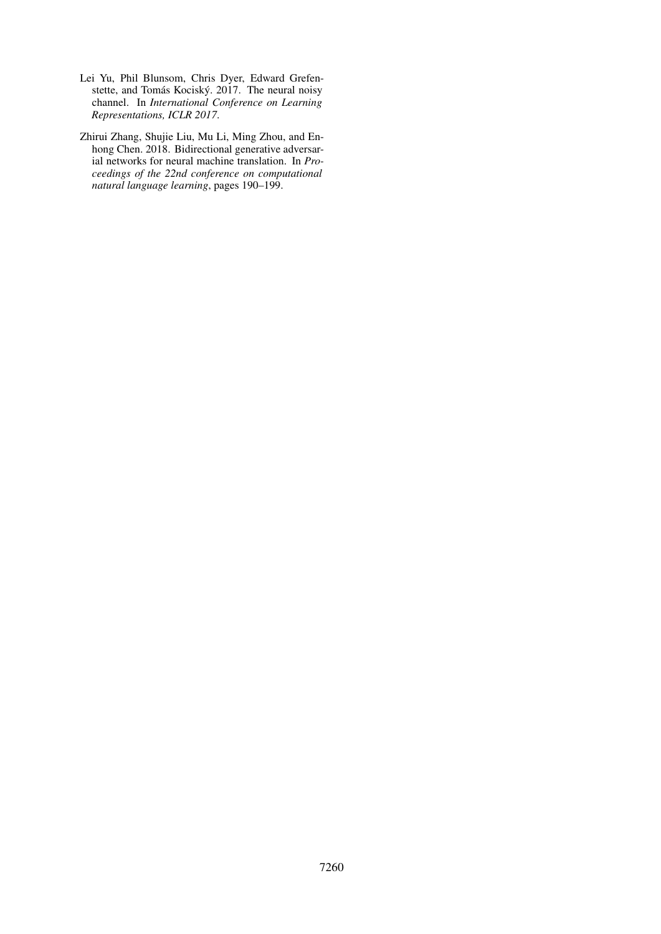- <span id="page-10-0"></span>Lei Yu, Phil Blunsom, Chris Dyer, Edward Grefenstette, and Tomás Kociský. 2017. The neural noisy channel. In *International Conference on Learning Representations, ICLR 2017*.
- <span id="page-10-1"></span>Zhirui Zhang, Shujie Liu, Mu Li, Ming Zhou, and Enhong Chen. 2018. Bidirectional generative adversarial networks for neural machine translation. In *Proceedings of the 22nd conference on computational natural language learning*, pages 190–199.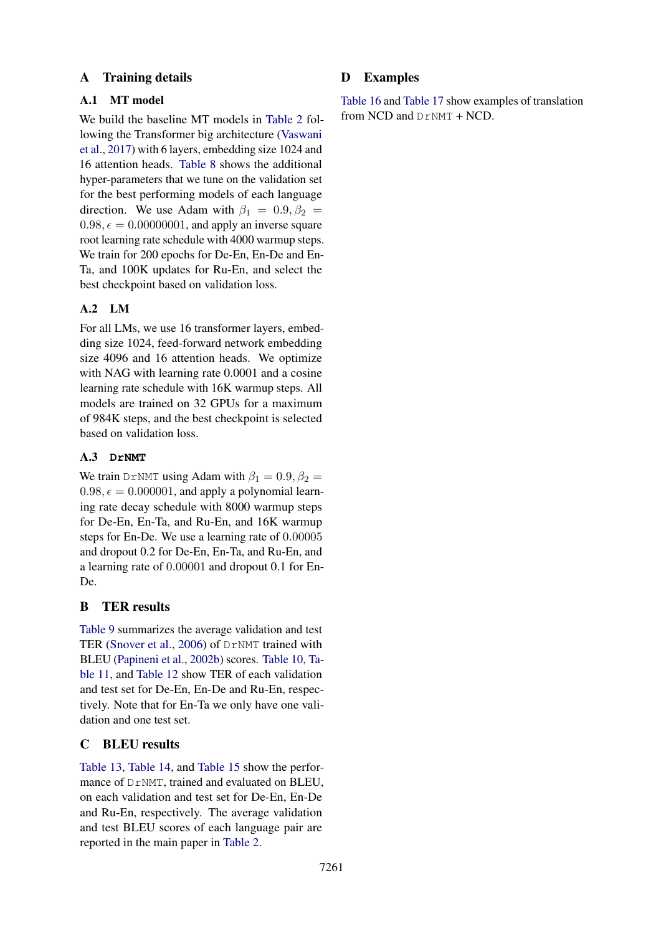## A Training details

## A.1 MT model

We build the baseline MT models in [Table 2](#page-4-1) following the Transformer big architecture [\(Vaswani](#page-9-15) [et al.,](#page-9-15) [2017\)](#page-9-15) with 6 layers, embedding size 1024 and 16 attention heads. [Table 8](#page-12-0) shows the additional hyper-parameters that we tune on the validation set for the best performing models of each language direction. We use Adam with  $\beta_1 = 0.9, \beta_2 =$  $0.98, \epsilon = 0.00000001$ , and apply an inverse square root learning rate schedule with 4000 warmup steps. We train for 200 epochs for De-En, En-De and En-Ta, and 100K updates for Ru-En, and select the best checkpoint based on validation loss.

# A.2 LM

For all LMs, we use 16 transformer layers, embedding size 1024, feed-forward network embedding size 4096 and 16 attention heads. We optimize with NAG with learning rate 0.0001 and a cosine learning rate schedule with 16K warmup steps. All models are trained on 32 GPUs for a maximum of 984K steps, and the best checkpoint is selected based on validation loss.

## A.3 **DrNMT**

We train DrNMT using Adam with  $\beta_1 = 0.9, \beta_2 =$  $0.98, \epsilon = 0.000001$ , and apply a polynomial learning rate decay schedule with 8000 warmup steps for De-En, En-Ta, and Ru-En, and 16K warmup steps for En-De. We use a learning rate of 0.00005 and dropout 0.2 for De-En, En-Ta, and Ru-En, and a learning rate of 0.00001 and dropout 0.1 for En-De.

# <span id="page-11-0"></span>B TER results

[Table 9](#page-12-1) summarizes the average validation and test TER [\(Snover et al.,](#page-9-17) [2006\)](#page-9-17) of DrNMT trained with BLEU [\(Papineni et al.,](#page-9-19) [2002b\)](#page-9-19) scores. [Table 10,](#page-12-2) [Ta](#page-12-3)[ble 11,](#page-12-3) and [Table 12](#page-13-0) show TER of each validation and test set for De-En, En-De and Ru-En, respectively. Note that for En-Ta we only have one validation and one test set.

## C BLEU results

[Table 13,](#page-13-1) [Table 14,](#page-13-2) and [Table 15](#page-13-3) show the performance of DrNMT, trained and evaluated on BLEU, on each validation and test set for De-En, En-De and Ru-En, respectively. The average validation and test BLEU scores of each language pair are reported in the main paper in [Table 2.](#page-4-1)

# D Examples

[Table 16](#page-14-0) and [Table 17](#page-14-1) show examples of translation from NCD and DrNMT + NCD.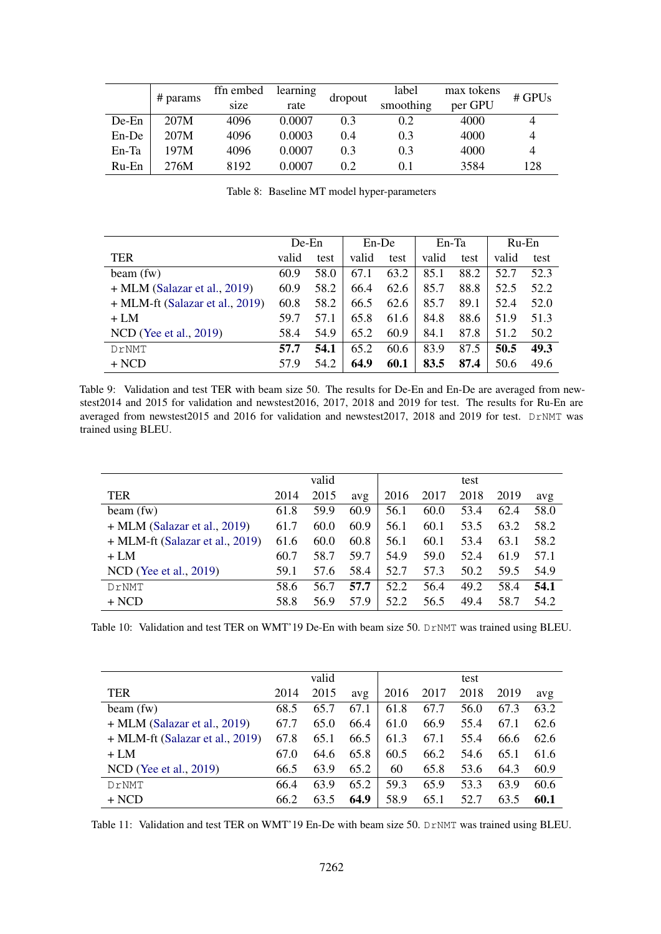<span id="page-12-0"></span>

|       |          |      | ffn embed<br>learning |         | label | max tokens | # GPUs |  |
|-------|----------|------|-----------------------|---------|-------|------------|--------|--|
|       | # params | size | rate                  | dropout |       | per GPU    |        |  |
| De-En | 207M     | 4096 | 0.0007                | 0.3     | 0.2   | 4000       | 4      |  |
| En-De | 207M     | 4096 | 0.0003                | 0.4     | 0.3   | 4000       |        |  |
| En-Ta | 197M     | 4096 | 0.0007                | 0.3     | 0.3   | 4000       |        |  |
| Ru-En | 276M     | 8192 | 0.0007                | 0.2     | 0.1   | 3584       | 128    |  |

Table 8: Baseline MT model hyper-parameters

<span id="page-12-1"></span>

|                                   | $De-En$ |      | $En-De$ |      | En-Ta |      | Ru-En |      |
|-----------------------------------|---------|------|---------|------|-------|------|-------|------|
| TER                               | valid   | test | valid   | test | valid | test | valid | test |
| beam(fw)                          | 60.9    | 58.0 | 67.1    | 63.2 | 85.1  | 88.2 | 52.7  | 52.3 |
| $+$ MLM (Salazar et al., 2019)    | 60.9    | 58.2 | 66.4    | 62.6 | 85.7  | 88.8 | 52.5  | 52.2 |
| $+$ MLM-ft (Salazar et al., 2019) | 60.8    | 58.2 | 66.5    | 62.6 | 85.7  | 89.1 | 52.4  | 52.0 |
| $+LM$                             | 59.7    | 57.1 | 65.8    | 61.6 | 84.8  | 88.6 | 51.9  | 51.3 |
| NCD (Yee et al., 2019)            | 58.4    | 54.9 | 65.2    | 60.9 | 84.1  | 87.8 | 51.2  | 50.2 |
| DrNMT                             | 57.7    | 54.1 | 65.2    | 60.6 | 83.9  | 87.5 | 50.5  | 49.3 |
| $+ NCD$                           | 57.9    | 54.2 | 64.9    | 60.1 | 83.5  | 87.4 | 50.6  | 49.6 |

Table 9: Validation and test TER with beam size 50. The results for De-En and En-De are averaged from newstest2014 and 2015 for validation and newstest2016, 2017, 2018 and 2019 for test. The results for Ru-En are averaged from newstest2015 and 2016 for validation and newstest2017, 2018 and 2019 for test. DrNMT was trained using BLEU.

<span id="page-12-2"></span>

|                                   |      | valid |      |      |      | test |      |      |
|-----------------------------------|------|-------|------|------|------|------|------|------|
| <b>TER</b>                        | 2014 | 2015  | avg  | 2016 | 2017 | 2018 | 2019 | avg  |
| beam(fw)                          | 61.8 | 59.9  | 60.9 | 56.1 | 60.0 | 53.4 | 62.4 | 58.0 |
| $+$ MLM (Salazar et al., 2019)    | 61.7 | 60.0  | 60.9 | 56.1 | 60.1 | 53.5 | 63.2 | 58.2 |
| $+$ MLM-ft (Salazar et al., 2019) | 61.6 | 60.0  | 60.8 | 56.1 | 60.1 | 53.4 | 63.1 | 58.2 |
| $+LM$                             | 60.7 | 58.7  | 59.7 | 54.9 | 59.0 | 52.4 | 61.9 | 57.1 |
| NCD (Yee et al., 2019)            | 59.1 | 57.6  | 58.4 | 52.7 | 57.3 | 50.2 | 59.5 | 54.9 |
| DrNMT                             | 58.6 | 56.7  | 57.7 | 52.2 | 56.4 | 49.2 | 58.4 | 54.1 |
| $+ NCD$                           | 58.8 | 56.9  | 57.9 | 52.2 | 56.5 | 49.4 | 58.7 | 54.2 |

Table 10: Validation and test TER on WMT'19 De-En with beam size 50. DrNMT was trained using BLEU.

<span id="page-12-3"></span>

|                                   |      | valid |      |      |      | test |      |      |
|-----------------------------------|------|-------|------|------|------|------|------|------|
| TER                               | 2014 | 2015  | avg  | 2016 | 2017 | 2018 | 2019 | avg  |
| beam(fw)                          | 68.5 | 65.7  | 67.1 | 61.8 | 67.7 | 56.0 | 67.3 | 63.2 |
| $+$ MLM (Salazar et al., 2019)    | 67.7 | 65.0  | 66.4 | 61.0 | 66.9 | 55.4 | 67.1 | 62.6 |
| $+$ MLM-ft (Salazar et al., 2019) | 67.8 | 65.1  | 66.5 | 61.3 | 67.1 | 55.4 | 66.6 | 62.6 |
| $+LM$                             | 67.0 | 64.6  | 65.8 | 60.5 | 66.2 | 54.6 | 65.1 | 61.6 |
| $NCD$ (Yee et al., 2019)          | 66.5 | 63.9  | 65.2 | 60   | 65.8 | 53.6 | 64.3 | 60.9 |
| DrNMT                             | 66.4 | 63.9  | 65.2 | 59.3 | 65.9 | 53.3 | 63.9 | 60.6 |
| + NCD                             | 66.2 | 63.5  | 64.9 | 58.9 | 65.1 | 52.7 | 63.5 | 60.1 |

Table 11: Validation and test TER on WMT'19 En-De with beam size 50. DrNMT was trained using BLEU.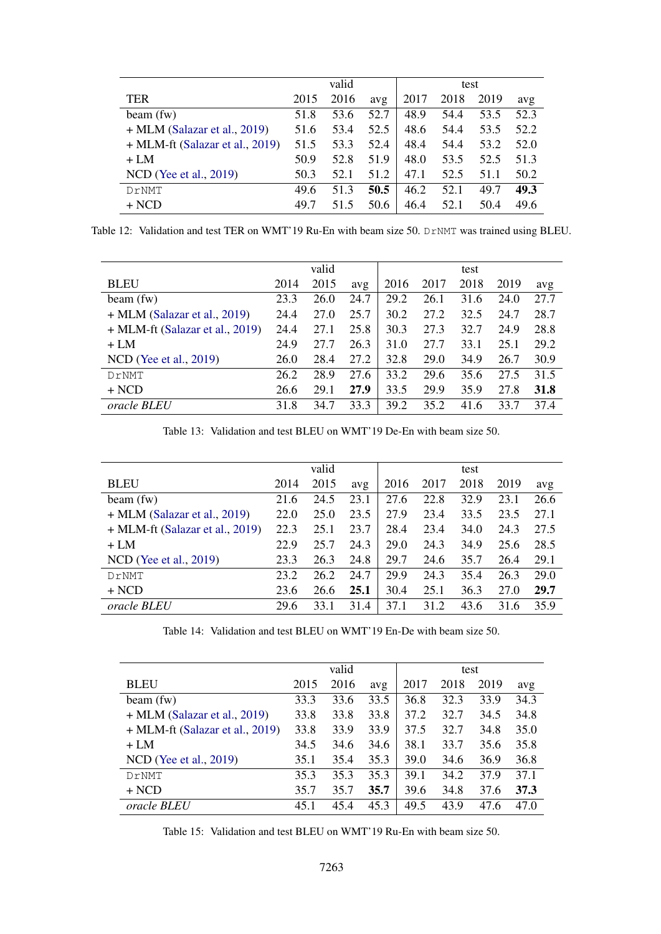<span id="page-13-0"></span>

|                                   | valid |      |      |      |      | test |      |  |
|-----------------------------------|-------|------|------|------|------|------|------|--|
| <b>TER</b>                        | 2015  | 2016 | avg  | 2017 | 2018 | 2019 | avg  |  |
| beam(fw)                          | 51.8  | 53.6 | 52.7 | 48.9 | 54.4 | 53.5 | 52.3 |  |
| $+$ MLM (Salazar et al., 2019)    | 51.6  | 53.4 | 52.5 | 48.6 | 54.4 | 53.5 | 52.2 |  |
| $+$ MLM-ft (Salazar et al., 2019) | 51.5  | 53.3 | 52.4 | 48.4 | 54.4 | 53.2 | 52.0 |  |
| $+LM$                             | 50.9  | 52.8 | 51.9 | 48.0 | 53.5 | 52.5 | 51.3 |  |
| NCD (Yee et al., 2019)            | 50.3  | 52.1 | 51.2 | 47.1 | 52.5 | 51.1 | 50.2 |  |
| DrNMT                             | 49.6  | 51.3 | 50.5 | 46.2 | 52.1 | 49.7 | 49.3 |  |
| $+ NCD$                           | 49.7  | 51.5 | 50.6 | 46.4 | 52.1 | 50.4 | 49.6 |  |

Table 12: Validation and test TER on WMT'19 Ru-En with beam size 50. DrNMT was trained using BLEU.

<span id="page-13-1"></span>

|                                   | valid |      |      |      |      |      |      |      |
|-----------------------------------|-------|------|------|------|------|------|------|------|
|                                   |       |      |      | test |      |      |      |      |
| <b>BLEU</b>                       | 2014  | 2015 | avg  | 2016 | 2017 | 2018 | 2019 | avg  |
| beam(fw)                          | 23.3  | 26.0 | 24.7 | 29.2 | 26.1 | 31.6 | 24.0 | 27.7 |
| $+$ MLM (Salazar et al., 2019)    | 24.4  | 27.0 | 25.7 | 30.2 | 27.2 | 32.5 | 24.7 | 28.7 |
| $+$ MLM-ft (Salazar et al., 2019) | 24.4  | 27.1 | 25.8 | 30.3 | 27.3 | 32.7 | 24.9 | 28.8 |
| $+LM$                             | 24.9  | 27.7 | 26.3 | 31.0 | 27.7 | 33.1 | 25.1 | 29.2 |
| $NCD$ (Yee et al., 2019)          | 26.0  | 28.4 | 27.2 | 32.8 | 29.0 | 34.9 | 26.7 | 30.9 |
| DrNMT                             | 26.2  | 28.9 | 27.6 | 33.2 | 29.6 | 35.6 | 27.5 | 31.5 |
| $+ NCD$                           | 26.6  | 29.1 | 27.9 | 33.5 | 29.9 | 35.9 | 27.8 | 31.8 |
| oracle BLEU                       | 31.8  | 34.7 | 33.3 | 39.2 | 35.2 | 41.6 | 33.7 | 37.4 |

Table 13: Validation and test BLEU on WMT'19 De-En with beam size 50.

<span id="page-13-2"></span>

|                                   | valid |      |      | test |      |      |      |      |
|-----------------------------------|-------|------|------|------|------|------|------|------|
| <b>BLEU</b>                       | 2014  | 2015 | avg  | 2016 | 2017 | 2018 | 2019 | avg  |
| beam(fw)                          | 21.6  | 24.5 | 23.1 | 27.6 | 22.8 | 32.9 | 23.1 | 26.6 |
| $+$ MLM (Salazar et al., 2019)    | 22.0  | 25.0 | 23.5 | 27.9 | 23.4 | 33.5 | 23.5 | 27.1 |
| $+$ MLM-ft (Salazar et al., 2019) | 22.3  | 25.1 | 23.7 | 28.4 | 23.4 | 34.0 | 24.3 | 27.5 |
| $+LM$                             | 22.9  | 25.7 | 24.3 | 29.0 | 24.3 | 34.9 | 25.6 | 28.5 |
| NCD (Yee et al., 2019)            | 23.3  | 26.3 | 24.8 | 29.7 | 24.6 | 35.7 | 26.4 | 29.1 |
| DrNMT                             | 23.2  | 26.2 | 24.7 | 29.9 | 24.3 | 35.4 | 26.3 | 29.0 |
| $+ NCD$                           | 23.6  | 26.6 | 25.1 | 30.4 | 25.1 | 36.3 | 27.0 | 29.7 |
| <i>oracle BLEU</i>                | 29.6  | 33.1 | 31.4 | 37.1 | 31.2 | 43.6 | 31.6 | 35.9 |

Table 14: Validation and test BLEU on WMT'19 En-De with beam size 50.

<span id="page-13-3"></span>

|                                   |      | valid |      | test |      |      |      |  |
|-----------------------------------|------|-------|------|------|------|------|------|--|
| <b>BLEU</b>                       | 2015 | 2016  | avg  | 2017 | 2018 | 2019 | avg  |  |
| beam(fw)                          | 33.3 | 33.6  | 33.5 | 36.8 | 32.3 | 33.9 | 34.3 |  |
| $+$ MLM (Salazar et al., 2019)    | 33.8 | 33.8  | 33.8 | 37.2 | 32.7 | 34.5 | 34.8 |  |
| $+$ MLM-ft (Salazar et al., 2019) | 33.8 | 33.9  | 33.9 | 37.5 | 32.7 | 34.8 | 35.0 |  |
| $+LM$                             | 34.5 | 34.6  | 34.6 | 38.1 | 33.7 | 35.6 | 35.8 |  |
| NCD (Yee et al., 2019)            | 35.1 | 35.4  | 35.3 | 39.0 | 34.6 | 36.9 | 36.8 |  |
| DrNMT                             | 35.3 | 35.3  | 35.3 | 39.1 | 34.2 | 37.9 | 37.1 |  |
| $+ NCD$                           | 35.7 | 35.7  | 35.7 | 39.6 | 34.8 | 37.6 | 37.3 |  |
| oracle BLEU                       | 45.1 | 45.4  | 45.3 | 49.5 | 43.9 | 47.6 | 47.0 |  |

Table 15: Validation and test BLEU on WMT'19 Ru-En with beam size 50.